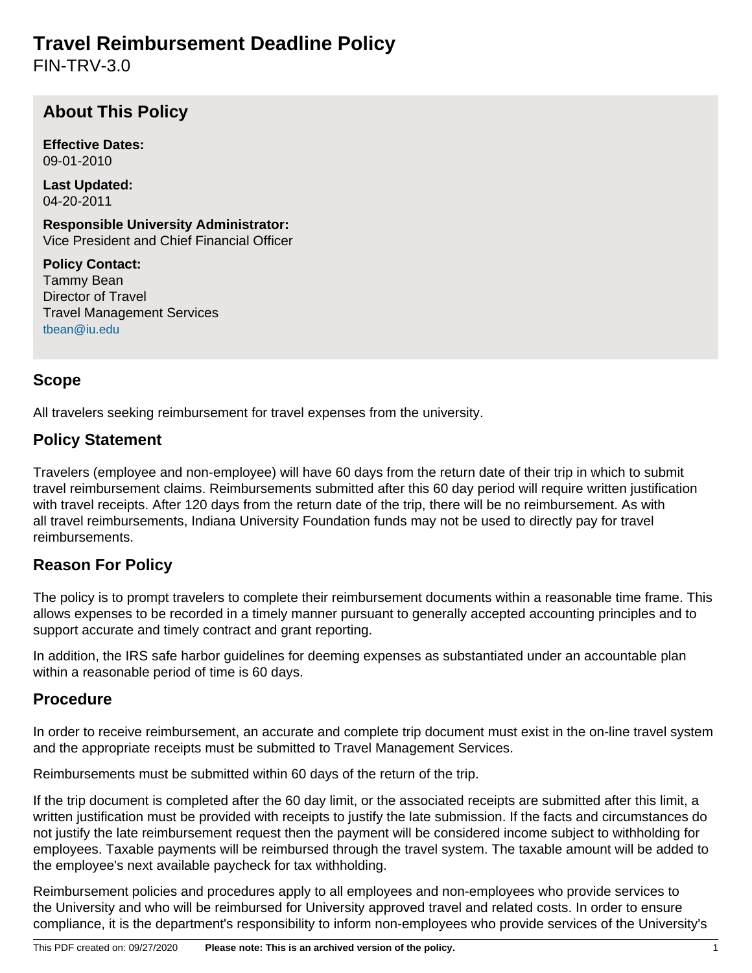# **Travel Reimbursement Deadline Policy**

FIN-TRV-3.0

## **About This Policy**

**Effective Dates:** 09-01-2010

**Last Updated:** 04-20-2011

**Responsible University Administrator:** Vice President and Chief Financial Officer

**Policy Contact:** Tammy Bean Director of Travel Travel Management Services [tbean@iu.edu](mailto:tbean@iu.edu)

### **Scope**

All travelers seeking reimbursement for travel expenses from the university.

#### **Policy Statement**

Travelers (employee and non-employee) will have 60 days from the return date of their trip in which to submit travel reimbursement claims. Reimbursements submitted after this 60 day period will require written justification with travel receipts. After 120 days from the return date of the trip, there will be no reimbursement. As with all travel reimbursements, Indiana University Foundation funds may not be used to directly pay for travel reimbursements.

### **Reason For Policy**

The policy is to prompt travelers to complete their reimbursement documents within a reasonable time frame. This allows expenses to be recorded in a timely manner pursuant to generally accepted accounting principles and to support accurate and timely contract and grant reporting.

In addition, the IRS safe harbor guidelines for deeming expenses as substantiated under an accountable plan within a reasonable period of time is 60 days.

### **Procedure**

In order to receive reimbursement, an accurate and complete trip document must exist in the on-line travel system and the appropriate receipts must be submitted to Travel Management Services.

Reimbursements must be submitted within 60 days of the return of the trip.

If the trip document is completed after the 60 day limit, or the associated receipts are submitted after this limit, a written justification must be provided with receipts to justify the late submission. If the facts and circumstances do not justify the late reimbursement request then the payment will be considered income subject to withholding for employees. Taxable payments will be reimbursed through the travel system. The taxable amount will be added to the employee's next available paycheck for tax withholding.

Reimbursement policies and procedures apply to all employees and non-employees who provide services to the University and who will be reimbursed for University approved travel and related costs. In order to ensure compliance, it is the department's responsibility to inform non-employees who provide services of the University's